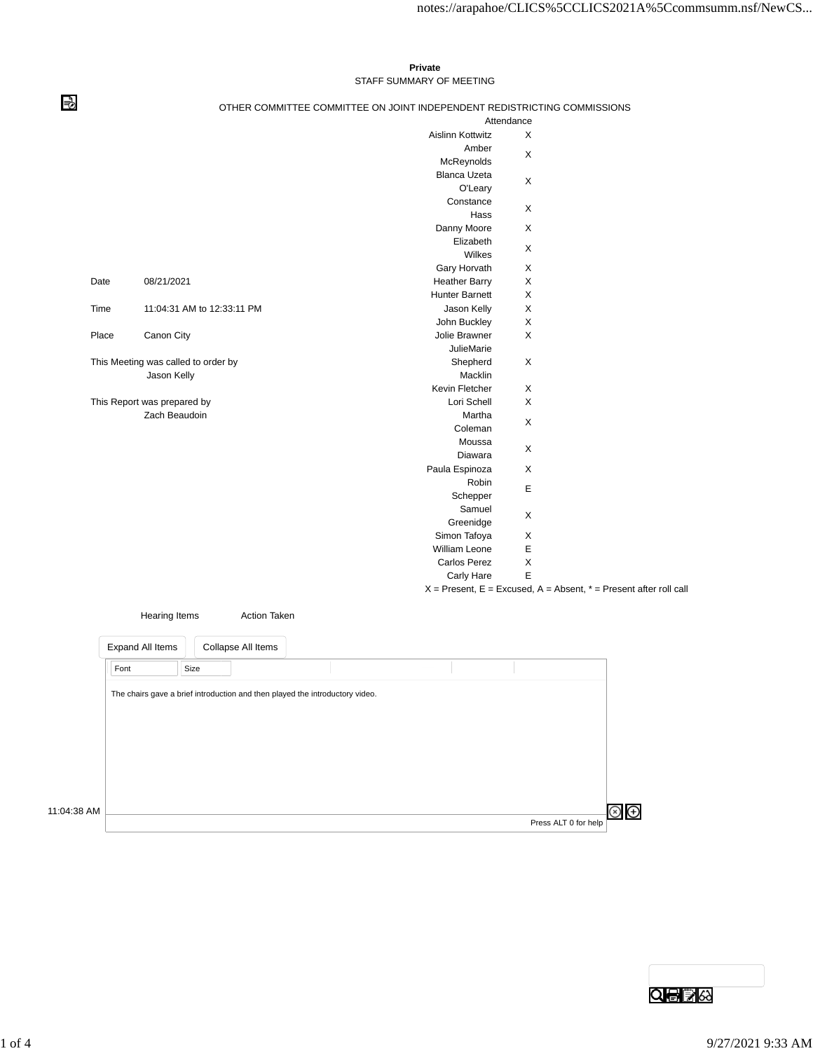## **Private** STAFF SUMMARY OF MEETING

⇛

## OTHER COMMITTEE COMMITTEE ON JOINT INDEPENDENT REDISTRICTING COMMISSIONS

|  |       |                                     |                       | Attendance  |                                                                       |
|--|-------|-------------------------------------|-----------------------|-------------|-----------------------------------------------------------------------|
|  |       |                                     | Aislinn Kottwitz      | X           |                                                                       |
|  |       |                                     | Amber                 |             |                                                                       |
|  |       |                                     | McReynolds            | X           |                                                                       |
|  |       |                                     | <b>Blanca Uzeta</b>   |             |                                                                       |
|  |       |                                     | O'Leary               | X           |                                                                       |
|  |       |                                     | Constance             | X           |                                                                       |
|  |       |                                     | Hass                  |             |                                                                       |
|  |       |                                     | Danny Moore           | X           |                                                                       |
|  |       |                                     | Elizabeth             |             |                                                                       |
|  |       |                                     | Wilkes                | X           |                                                                       |
|  |       |                                     | Gary Horvath          | X           |                                                                       |
|  | Date  | 08/21/2021                          | <b>Heather Barry</b>  | X           |                                                                       |
|  |       |                                     | <b>Hunter Barnett</b> | X           |                                                                       |
|  | Time  | 11:04:31 AM to 12:33:11 PM          | Jason Kelly           | X           |                                                                       |
|  |       |                                     | John Buckley          | X           |                                                                       |
|  | Place | Canon City                          | Jolie Brawner         | X           |                                                                       |
|  |       |                                     | <b>JulieMarie</b>     |             |                                                                       |
|  |       | This Meeting was called to order by | Shepherd              | X           |                                                                       |
|  |       | Jason Kelly                         | Macklin               |             |                                                                       |
|  |       |                                     | Kevin Fletcher        | X           |                                                                       |
|  |       | This Report was prepared by         | Lori Schell           | X           |                                                                       |
|  |       | Zach Beaudoin                       | Martha                |             |                                                                       |
|  |       |                                     | Coleman               | X           |                                                                       |
|  |       |                                     | Moussa                |             |                                                                       |
|  |       |                                     | Diawara               | X           |                                                                       |
|  |       |                                     | Paula Espinoza        | X           |                                                                       |
|  |       |                                     | Robin                 |             |                                                                       |
|  |       |                                     | Schepper              | $\mathsf E$ |                                                                       |
|  |       |                                     | Samuel                |             |                                                                       |
|  |       |                                     | Greenidge             | X           |                                                                       |
|  |       |                                     | Simon Tafoya          | X           |                                                                       |
|  |       |                                     | William Leone         | $\mathsf E$ |                                                                       |
|  |       |                                     | <b>Carlos Perez</b>   | X           |                                                                       |
|  |       |                                     | Carly Hare            | E           |                                                                       |
|  |       |                                     |                       |             | $X =$ Present, E = Excused, A = Absent, $* =$ Present after roll call |
|  |       |                                     |                       |             |                                                                       |



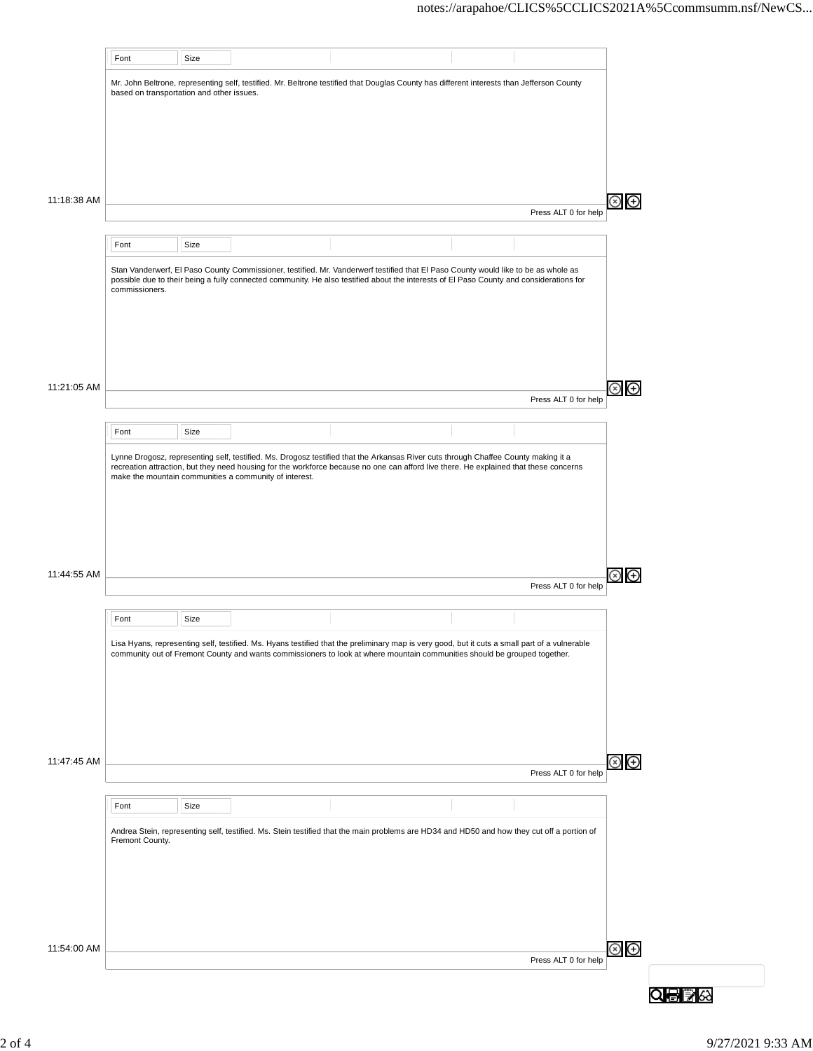|             | Font                                      | Size |                                                        |                                                                                                                                                                                                                                                                               |                      |                               |  |
|-------------|-------------------------------------------|------|--------------------------------------------------------|-------------------------------------------------------------------------------------------------------------------------------------------------------------------------------------------------------------------------------------------------------------------------------|----------------------|-------------------------------|--|
|             | based on transportation and other issues. |      |                                                        | Mr. John Beltrone, representing self, testified. Mr. Beltrone testified that Douglas County has different interests than Jefferson County                                                                                                                                     |                      |                               |  |
|             |                                           |      |                                                        |                                                                                                                                                                                                                                                                               |                      |                               |  |
|             |                                           |      |                                                        |                                                                                                                                                                                                                                                                               |                      |                               |  |
| 11:18:38 AM |                                           |      |                                                        |                                                                                                                                                                                                                                                                               |                      | $\circledcirc$ $\circledcirc$ |  |
|             |                                           |      |                                                        |                                                                                                                                                                                                                                                                               | Press ALT 0 for help |                               |  |
|             | Font                                      | Size |                                                        |                                                                                                                                                                                                                                                                               |                      |                               |  |
|             |                                           |      |                                                        |                                                                                                                                                                                                                                                                               |                      |                               |  |
|             | commissioners.                            |      |                                                        | Stan Vanderwerf, El Paso County Commissioner, testified. Mr. Vanderwerf testified that El Paso County would like to be as whole as<br>possible due to their being a fully connected community. He also testified about the interests of El Paso County and considerations for |                      |                               |  |
|             |                                           |      |                                                        |                                                                                                                                                                                                                                                                               |                      |                               |  |
|             |                                           |      |                                                        |                                                                                                                                                                                                                                                                               |                      |                               |  |
| 11:21:05 AM |                                           |      |                                                        |                                                                                                                                                                                                                                                                               |                      | ⊛ ⊕                           |  |
|             |                                           |      |                                                        |                                                                                                                                                                                                                                                                               | Press ALT 0 for help |                               |  |
|             | Font                                      | Size |                                                        |                                                                                                                                                                                                                                                                               |                      |                               |  |
|             |                                           |      | make the mountain communities a community of interest. | Lynne Drogosz, representing self, testified. Ms. Drogosz testified that the Arkansas River cuts through Chaffee County making it a<br>recreation attraction, but they need housing for the workforce because no one can afford live there. He explained that these concerns   |                      |                               |  |
|             |                                           |      |                                                        |                                                                                                                                                                                                                                                                               |                      |                               |  |
|             |                                           |      |                                                        |                                                                                                                                                                                                                                                                               |                      |                               |  |
|             |                                           |      |                                                        |                                                                                                                                                                                                                                                                               |                      |                               |  |
| 11:44:55 AM |                                           |      |                                                        |                                                                                                                                                                                                                                                                               | Press ALT 0 for help | ⊛ ⊕                           |  |
|             | Font                                      | Size |                                                        |                                                                                                                                                                                                                                                                               |                      |                               |  |
|             |                                           |      |                                                        | Lisa Hyans, representing self, testified. Ms. Hyans testified that the preliminary map is very good, but it cuts a small part of a vulnerable<br>community out of Fremont County and wants commissioners to look at where mountain communities should be grouped together.    |                      |                               |  |
|             |                                           |      |                                                        |                                                                                                                                                                                                                                                                               |                      |                               |  |
|             |                                           |      |                                                        |                                                                                                                                                                                                                                                                               |                      |                               |  |
|             |                                           |      |                                                        |                                                                                                                                                                                                                                                                               |                      |                               |  |
| 11:47:45 AM |                                           |      |                                                        |                                                                                                                                                                                                                                                                               | Press ALT 0 for help | $\circledcirc$ $\odot$        |  |
|             | Font                                      | Size |                                                        |                                                                                                                                                                                                                                                                               |                      |                               |  |
|             | Fremont County.                           |      |                                                        | Andrea Stein, representing self, testified. Ms. Stein testified that the main problems are HD34 and HD50 and how they cut off a portion of                                                                                                                                    |                      |                               |  |
|             |                                           |      |                                                        |                                                                                                                                                                                                                                                                               |                      |                               |  |
|             |                                           |      |                                                        |                                                                                                                                                                                                                                                                               |                      |                               |  |
|             |                                           |      |                                                        |                                                                                                                                                                                                                                                                               |                      |                               |  |
| 11:54:00 AM |                                           |      |                                                        |                                                                                                                                                                                                                                                                               | Press ALT 0 for help | $\circledast$                 |  |
|             |                                           |      |                                                        |                                                                                                                                                                                                                                                                               |                      |                               |  |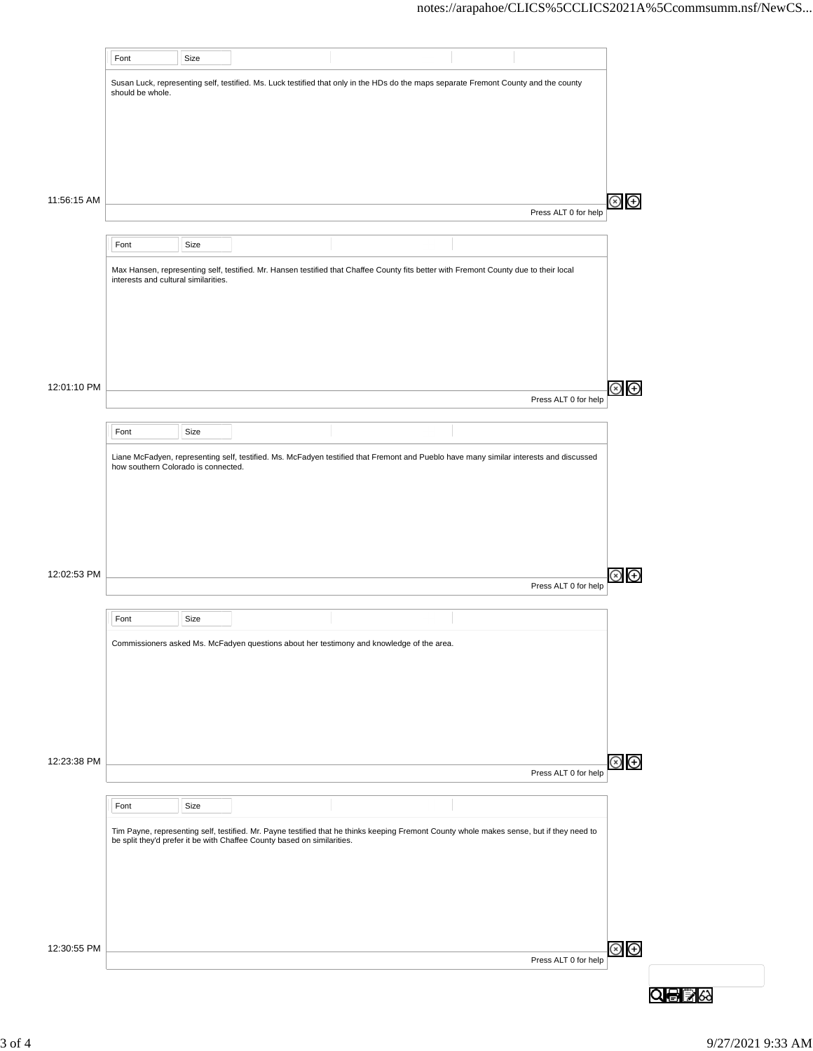|             | Font                                 | Size |                                                                         |                                                                                                                                           |                      |                                  |  |
|-------------|--------------------------------------|------|-------------------------------------------------------------------------|-------------------------------------------------------------------------------------------------------------------------------------------|----------------------|----------------------------------|--|
|             |                                      |      |                                                                         | Susan Luck, representing self, testified. Ms. Luck testified that only in the HDs do the maps separate Fremont County and the county      |                      |                                  |  |
|             | should be whole.                     |      |                                                                         |                                                                                                                                           |                      |                                  |  |
|             |                                      |      |                                                                         |                                                                                                                                           |                      |                                  |  |
|             |                                      |      |                                                                         |                                                                                                                                           |                      |                                  |  |
|             |                                      |      |                                                                         |                                                                                                                                           |                      |                                  |  |
| 11:56:15 AM |                                      |      |                                                                         |                                                                                                                                           |                      | $\bigoplus$<br>$\mathbf{\infty}$ |  |
|             |                                      |      |                                                                         |                                                                                                                                           | Press ALT 0 for help |                                  |  |
|             | Font                                 | Size |                                                                         |                                                                                                                                           |                      |                                  |  |
|             |                                      |      |                                                                         | Max Hansen, representing self, testified. Mr. Hansen testified that Chaffee County fits better with Fremont County due to their local     |                      |                                  |  |
|             | interests and cultural similarities. |      |                                                                         |                                                                                                                                           |                      |                                  |  |
|             |                                      |      |                                                                         |                                                                                                                                           |                      |                                  |  |
|             |                                      |      |                                                                         |                                                                                                                                           |                      |                                  |  |
|             |                                      |      |                                                                         |                                                                                                                                           |                      |                                  |  |
|             |                                      |      |                                                                         |                                                                                                                                           |                      |                                  |  |
| 12:01:10 PM |                                      |      |                                                                         |                                                                                                                                           | Press ALT 0 for help | $\circledast$                    |  |
|             |                                      |      |                                                                         |                                                                                                                                           |                      |                                  |  |
|             | Font                                 | Size |                                                                         |                                                                                                                                           |                      |                                  |  |
|             | how southern Colorado is connected.  |      |                                                                         | Liane McFadyen, representing self, testified. Ms. McFadyen testified that Fremont and Pueblo have many similar interests and discussed    |                      |                                  |  |
|             |                                      |      |                                                                         |                                                                                                                                           |                      |                                  |  |
|             |                                      |      |                                                                         |                                                                                                                                           |                      |                                  |  |
|             |                                      |      |                                                                         |                                                                                                                                           |                      |                                  |  |
|             |                                      |      |                                                                         |                                                                                                                                           |                      |                                  |  |
| 12:02:53 PM |                                      |      |                                                                         |                                                                                                                                           |                      | $\bigoplus$                      |  |
|             |                                      |      |                                                                         |                                                                                                                                           | Press ALT 0 for help |                                  |  |
|             | Font                                 | Size |                                                                         |                                                                                                                                           |                      |                                  |  |
|             |                                      |      |                                                                         | Commissioners asked Ms. McFadyen questions about her testimony and knowledge of the area.                                                 |                      |                                  |  |
|             |                                      |      |                                                                         |                                                                                                                                           |                      |                                  |  |
|             |                                      |      |                                                                         |                                                                                                                                           |                      |                                  |  |
|             |                                      |      |                                                                         |                                                                                                                                           |                      |                                  |  |
|             |                                      |      |                                                                         |                                                                                                                                           |                      |                                  |  |
| 12:23:38 PM |                                      |      |                                                                         |                                                                                                                                           |                      |                                  |  |
|             |                                      |      |                                                                         |                                                                                                                                           | Press ALT 0 for help | $\circledast$                    |  |
|             |                                      |      |                                                                         |                                                                                                                                           |                      |                                  |  |
|             | Font                                 | Size |                                                                         |                                                                                                                                           |                      |                                  |  |
|             |                                      |      | be split they'd prefer it be with Chaffee County based on similarities. | Tim Payne, representing self, testified. Mr. Payne testified that he thinks keeping Fremont County whole makes sense, but if they need to |                      |                                  |  |
|             |                                      |      |                                                                         |                                                                                                                                           |                      |                                  |  |
|             |                                      |      |                                                                         |                                                                                                                                           |                      |                                  |  |
|             |                                      |      |                                                                         |                                                                                                                                           |                      |                                  |  |
|             |                                      |      |                                                                         |                                                                                                                                           |                      |                                  |  |
| 12:30:55 PM |                                      |      |                                                                         |                                                                                                                                           |                      | $\odot$                          |  |
|             |                                      |      |                                                                         |                                                                                                                                           | Press ALT 0 for help |                                  |  |
|             |                                      |      |                                                                         |                                                                                                                                           |                      |                                  |  |